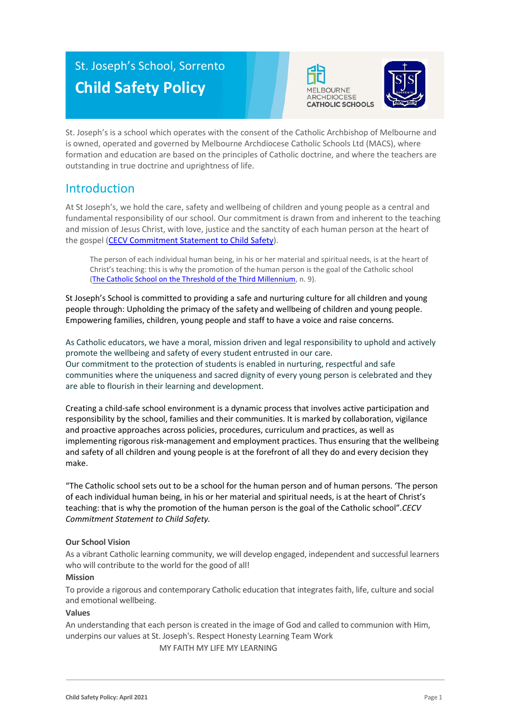# St. Joseph's School, Sorrento **Child Safety Policy**





St. Joseph's is a school which operates with the consent of the Catholic Archbishop of Melbourne and is owned, operated and governed by Melbourne Archdiocese Catholic Schools Ltd (MACS), where formation and education are based on the principles of Catholic doctrine, and where the teachers are outstanding in true doctrine and uprightness of life.

### Introduction

At St Joseph's, we hold the care, safety and wellbeing of children and young people as a central and fundamental responsibility of our school. Our commitment is drawn from and inherent to the teaching and mission of Jesus Christ, with love, justice and the sanctity of each human person at the heart of the gospel [\(CECV Commitment Statement to Child Safety\)](https://www.cecv.catholic.edu.au/getmedia/b5d43278-51b9-4704-b45a-f14e50546a70/Commitment-Statement-A4.aspx).

The person of each individual human being, in his or her material and spiritual needs, is at the heart of Christ's teaching: this is why the promotion of the human person is the goal of the Catholic school [\(The Catholic School on the Threshold of the Third Millennium,](http://www.vatican.va/roman_curia/congregations/ccatheduc/documents/rc_con_ccatheduc_doc_27041998_school2000_en.html) n. 9).

St Joseph's School is committed to providing a safe and nurturing culture for all children and young people through: Upholding the primacy of the safety and wellbeing of children and young people. Empowering families, children, young people and staff to have a voice and raise concerns.

As Catholic educators, we have a moral, mission driven and legal responsibility to uphold and actively promote the wellbeing and safety of every student entrusted in our care. Our commitment to the protection of students is enabled in nurturing, respectful and safe communities where the uniqueness and sacred dignity of every young person is celebrated and they are able to flourish in their learning and development.

Creating a child-safe school environment is a dynamic process that involves active participation and responsibility by the school, families and their communities. It is marked by collaboration, vigilance and proactive approaches across policies, procedures, curriculum and practices, as well as implementing rigorous risk-management and employment practices. Thus ensuring that the wellbeing and safety of all children and young people is at the forefront of all they do and every decision they make.

"The Catholic school sets out to be a school for the human person and of human persons. 'The person of each individual human being, in his or her material and spiritual needs, is at the heart of Christ's teaching: that is why the promotion of the human person is the goal of the Catholic school".*CECV Commitment Statement to Child Safety.*

#### **Our School Vision**

As a vibrant Catholic learning community, we will develop engaged, independent and successful learners who will contribute to the world for the good of all!

#### **Mission**

To provide a rigorous and contemporary Catholic education that integrates faith, life, culture and social and emotional wellbeing.

#### **Values**

An understanding that each person is created in the image of God and called to communion with Him, underpins our values at St. Joseph's. Respect Honesty Learning Team Work

MY FAITH MY LIFE MY LEARNING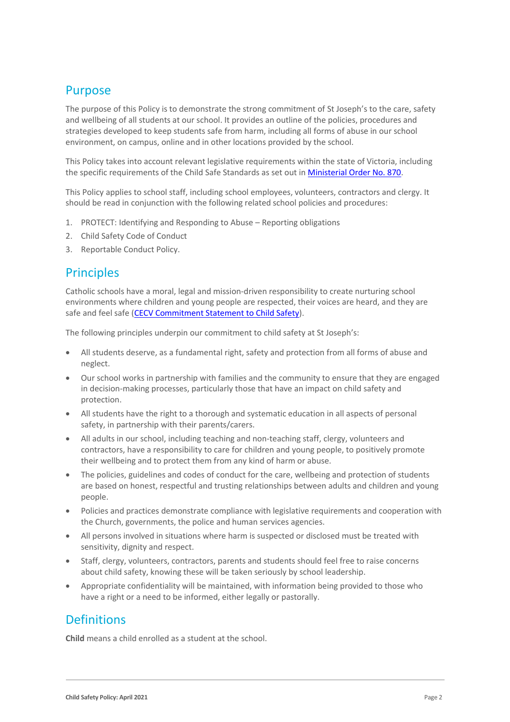# Purpose

The purpose of this Policy is to demonstrate the strong commitment of St Joseph's to the care, safety and wellbeing of all students at our school. It provides an outline of the policies, procedures and strategies developed to keep students safe from harm, including all forms of abuse in our school environment, on campus, online and in other locations provided by the school.

This Policy takes into account relevant legislative requirements within the state of Victoria, including the specific requirements of the Child Safe Standards as set out in [Ministerial Order No. 870.](http://www.gazette.vic.gov.au/gazette/Gazettes2016/GG2016S002.pdf)

This Policy applies to school staff, including school employees, volunteers, contractors and clergy. It should be read in conjunction with the following related school policies and procedures:

- 1. PROTECT: Identifying and Responding to Abuse Reporting obligations
- 2. Child Safety Code of Conduct
- 3. Reportable Conduct Policy.

### **Principles**

Catholic schools have a moral, legal and mission-driven responsibility to create nurturing school environments where children and young people are respected, their voices are heard, and they are safe and feel safe [\(CECV Commitment Statement to Child Safety\)](https://www.cecv.catholic.edu.au/getmedia/b5d43278-51b9-4704-b45a-f14e50546a70/Commitment-Statement-A4.aspx).

The following principles underpin our commitment to child safety at St Joseph's:

- All students deserve, as a fundamental right, safety and protection from all forms of abuse and neglect.
- Our school works in partnership with families and the community to ensure that they are engaged in decision-making processes, particularly those that have an impact on child safety and protection.
- All students have the right to a thorough and systematic education in all aspects of personal safety, in partnership with their parents/carers.
- All adults in our school, including teaching and non-teaching staff, clergy, volunteers and contractors, have a responsibility to care for children and young people, to positively promote their wellbeing and to protect them from any kind of harm or abuse.
- The policies, guidelines and codes of conduct for the care, wellbeing and protection of students are based on honest, respectful and trusting relationships between adults and children and young people.
- Policies and practices demonstrate compliance with legislative requirements and cooperation with the Church, governments, the police and human services agencies.
- All persons involved in situations where harm is suspected or disclosed must be treated with sensitivity, dignity and respect.
- Staff, clergy, volunteers, contractors, parents and students should feel free to raise concerns about child safety, knowing these will be taken seriously by school leadership.
- Appropriate confidentiality will be maintained, with information being provided to those who have a right or a need to be informed, either legally or pastorally.

### **Definitions**

**Child** means a child enrolled as a student at the school.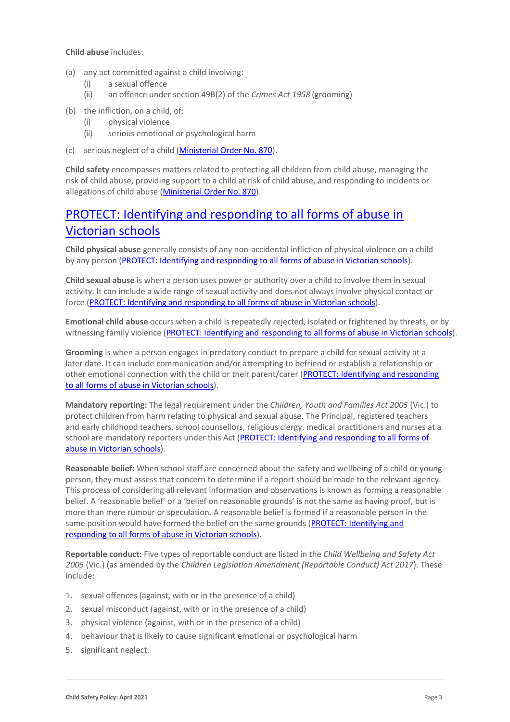**Child abuse** includes:

- (a) any act committed against a child involving:
	- (i) a sexual offence
	- (ii) an offence under section 49B(2) of the *Crimes Act 1958* (grooming)
- (b) the infliction, on a child, of:
	- (i) physical violence
	- (ii) serious emotional or psychological harm
- (c) serious neglect of a child [\(Ministerial Order No. 870\)](http://www.gazette.vic.gov.au/gazette/Gazettes2016/GG2016S002.pdf).

**Child safety** encompasses matters related to protecting all children from child abuse, managing the risk of child abuse, providing support to a child at risk of child abuse, and responding to incidents or allegations of child abuse [\(Ministerial Order No. 870\)](http://www.gazette.vic.gov.au/gazette/Gazettes2016/GG2016S002.pdf).

# [PROTECT: Identifying and responding to all forms of abuse in](http://www.cecv.catholic.edu.au/getmedia/ebe135a4-d1b3-48a0-81fe-50d4fc451bcd/Identifying-and-Responding-to-All-Forms-of-Abuse.aspx#page%3D27)  [Victorian schools\)](http://www.cecv.catholic.edu.au/getmedia/ebe135a4-d1b3-48a0-81fe-50d4fc451bcd/Identifying-and-Responding-to-All-Forms-of-Abuse.aspx#page%3D27).

**Child physical abuse** generally consists of any non-accidental infliction of physical violence on a child by any person [\(PROTECT: Identifying and responding to all forms of abuse in Victorian schools\)](https://www.cecv.catholic.edu.au/getmedia/ebe135a4-d1b3-48a0-81fe-50d4fc451bcd/Identifying-and-Responding-to-All-Forms-of-Abuse.aspx#page%3D15).

**Child sexual abuse** is when a person uses power or authority over a child to involve them in sexual activity. It can include a wide range of sexual activity and does not always involve physical contact or force [\(PROTECT: Identifying and responding to all forms of abuse in Victorian schools\)](https://www.cecv.catholic.edu.au/getmedia/ebe135a4-d1b3-48a0-81fe-50d4fc451bcd/Identifying-and-Responding-to-All-Forms-of-Abuse.aspx#page%3D17).

**Emotional child abuse** occurs when a child is repeatedly rejected, isolated or frightened by threats, or by witnessing family violence [\(PROTECT: Identifying and responding to all forms of abuse in Victorian schools\)](https://www.cecv.catholic.edu.au/getmedia/ebe135a4-d1b3-48a0-81fe-50d4fc451bcd/Identifying-and-Responding-to-All-Forms-of-Abuse.aspx#page%3D26).

**Grooming** is when a person engages in predatory conduct to prepare a child for sexual activity at a later date. It can include communication and/or attempting to befriend or establish a relationship or other emotional connection with the child or their parent/carer (PROTECT: Identifying and responding [to all forms of abuse in Victorian schools\)](https://www.cecv.catholic.edu.au/getmedia/ebe135a4-d1b3-48a0-81fe-50d4fc451bcd/Identifying-and-Responding-to-All-Forms-of-Abuse.aspx#page%3D20).

**Mandatory reporting:** The legal requirement under the *Children, Youth and Families Act 2005* (Vic.) to protect children from harm relating to physical and sexual abuse. The Principal, registered teachers and early childhood teachers, school counsellors, religious clergy, medical practitioners and nurses at a school are mandatory reporters under this Act (PROTECT: Identifying and responding to all forms of [abuse in Victorian schools\)](http://www.cecv.catholic.edu.au/getmedia/ebe135a4-d1b3-48a0-81fe-50d4fc451bcd/Identifying-and-Responding-to-All-Forms-of-Abuse.aspx#page%3D8).

**Reasonable belief:** When school staff are concerned about the safety and wellbeing of a child or young person, they must assess that concern to determine if a report should be made to the relevant agency. This process of considering all relevant information and observations is known as forming a reasonable belief. A 'reasonable belief' or a 'belief on reasonable grounds' is not the same as having proof, but is more than mere rumour or speculation. A reasonable belief is formed if a reasonable person in the same position would have formed the belief on the same grounds [\(PROTECT: Identifying and](http://www.cecv.catholic.edu.au/getmedia/ebe135a4-d1b3-48a0-81fe-50d4fc451bcd/Identifying-and-Responding-to-All-Forms-of-Abuse.aspx#page%3D35)  [responding to all forms of abuse in Victorian schools\)](http://www.cecv.catholic.edu.au/getmedia/ebe135a4-d1b3-48a0-81fe-50d4fc451bcd/Identifying-and-Responding-to-All-Forms-of-Abuse.aspx#page%3D35).

**Reportable conduct:** Five types of reportable conduct are listed in the *Child Wellbeing and Safety Act 2005* (Vic.) (as amended by the *Children Legislation Amendment (Reportable Conduct) Act 2017*). These include:

- 1. sexual offences (against, with or in the presence of a child)
- 2. sexual misconduct (against, with or in the presence of a child)
- 3. physical violence (against, with or in the presence of a child)
- 4. behaviour that is likely to cause significant emotional or psychological harm
- 5. significant neglect.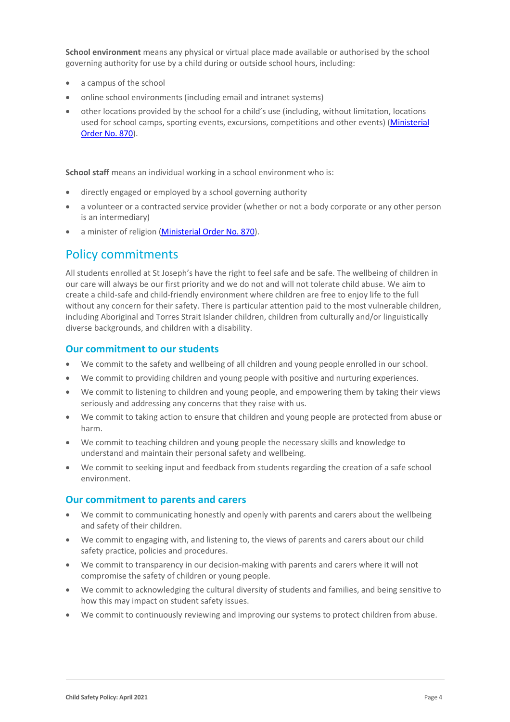**School environment** means any physical or virtual place made available or authorised by the school governing authority for use by a child during or outside school hours, including:

- a campus of the school
- online school environments (including email and intranet systems)
- other locations provided by the school for a child's use (including, without limitation, locations used for school camps, sporting events, excursions, competitions and other events) [\(Ministerial](http://www.gazette.vic.gov.au/gazette/Gazettes2016/GG2016S002.pdf)  [Order No. 870\)](http://www.gazette.vic.gov.au/gazette/Gazettes2016/GG2016S002.pdf).

**School staff** means an individual working in a school environment who is:

- directly engaged or employed by a school governing authority
- a volunteer or a contracted service provider (whether or not a body corporate or any other person is an intermediary)
- a minister of religion [\(Ministerial Order No. 870\)](http://www.gazette.vic.gov.au/gazette/Gazettes2016/GG2016S002.pdf).

### Policy commitments

All students enrolled at St Joseph's have the right to feel safe and be safe. The wellbeing of children in our care will always be our first priority and we do not and will not tolerate child abuse. We aim to create a child-safe and child-friendly environment where children are free to enjoy life to the full without any concern for their safety. There is particular attention paid to the most vulnerable children, including Aboriginal and Torres Strait Islander children, children from culturally and/or linguistically diverse backgrounds, and children with a disability.

#### **Our commitment to our students**

- We commit to the safety and wellbeing of all children and young people enrolled in our school.
- We commit to providing children and young people with positive and nurturing experiences.
- We commit to listening to children and young people, and empowering them by taking their views seriously and addressing any concerns that they raise with us.
- We commit to taking action to ensure that children and young people are protected from abuse or harm.
- We commit to teaching children and young people the necessary skills and knowledge to understand and maintain their personal safety and wellbeing.
- We commit to seeking input and feedback from students regarding the creation of a safe school environment.

#### **Our commitment to parents and carers**

- We commit to communicating honestly and openly with parents and carers about the wellbeing and safety of their children.
- We commit to engaging with, and listening to, the views of parents and carers about our child safety practice, policies and procedures.
- We commit to transparency in our decision-making with parents and carers where it will not compromise the safety of children or young people.
- We commit to acknowledging the cultural diversity of students and families, and being sensitive to how this may impact on student safety issues.
- We commit to continuously reviewing and improving our systems to protect children from abuse.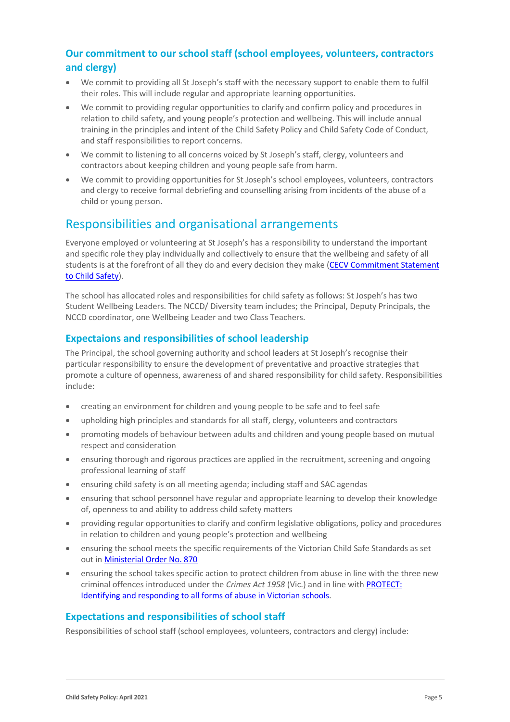### **Our commitment to our school staff (school employees, volunteers, contractors and clergy)**

- We commit to providing all St Joseph's staff with the necessary support to enable them to fulfil their roles. This will include regular and appropriate learning opportunities.
- We commit to providing regular opportunities to clarify and confirm policy and procedures in relation to child safety, and young people's protection and wellbeing. This will include annual training in the principles and intent of the Child Safety Policy and Child Safety Code of Conduct, and staff responsibilities to report concerns.
- We commit to listening to all concerns voiced by St Joseph's staff, clergy, volunteers and contractors about keeping children and young people safe from harm.
- We commit to providing opportunities for St Joseph's school employees, volunteers, contractors and clergy to receive formal debriefing and counselling arising from incidents of the abuse of a child or young person.

### Responsibilities and organisational arrangements

Everyone employed or volunteering at St Joseph's has a responsibility to understand the important and specific role they play individually and collectively to ensure that the wellbeing and safety of all students is at the forefront of all they do and every decision they make (CECV Commitment Statement [to Child Safety\)](https://www.cecv.catholic.edu.au/getmedia/b5d43278-51b9-4704-b45a-f14e50546a70/Commitment-Statement-A4.aspx).

The school has allocated roles and responsibilities for child safety as follows: St Jospeh's has two Student Wellbeing Leaders. The NCCD/ Diversity team includes; the Principal, Deputy Principals, the NCCD coordinator, one Wellbeing Leader and two Class Teachers.

### **Expectaions and responsibilities of school leadership**

The Principal, the school governing authority and school leaders at St Joseph's recognise their particular responsibility to ensure the development of preventative and proactive strategies that promote a culture of openness, awareness of and shared responsibility for child safety. Responsibilities include:

- creating an environment for children and young people to be safe and to feel safe
- upholding high principles and standards for all staff, clergy, volunteers and contractors
- promoting models of behaviour between adults and children and young people based on mutual respect and consideration
- ensuring thorough and rigorous practices are applied in the recruitment, screening and ongoing professional learning of staff
- ensuring child safety is on all meeting agenda; including staff and SAC agendas
- ensuring that school personnel have regular and appropriate learning to develop their knowledge of, openness to and ability to address child safety matters
- providing regular opportunities to clarify and confirm legislative obligations, policy and procedures in relation to children and young people's protection and wellbeing
- ensuring the school meets the specific requirements of the Victorian Child Safe Standards as set out i[n Ministerial Order No. 870](http://www.gazette.vic.gov.au/gazette/Gazettes2016/GG2016S002.pdf)
- ensuring the school takes specific action to protect children from abuse in line with the three new criminal offences introduced under the *Crimes Act 1958* (Vic.) and in line with [PROTECT:](http://www.cecv.catholic.edu.au/getmedia/ebe135a4-d1b3-48a0-81fe-50d4fc451bcd/Identifying-and-Responding-to-All-Forms-of-Abuse.aspx)  [Identifying and responding to all forms of abuse in Victorian schools.](http://www.cecv.catholic.edu.au/getmedia/ebe135a4-d1b3-48a0-81fe-50d4fc451bcd/Identifying-and-Responding-to-All-Forms-of-Abuse.aspx)

#### **Expectations and responsibilities of school staff**

Responsibilities of school staff (school employees, volunteers, contractors and clergy) include: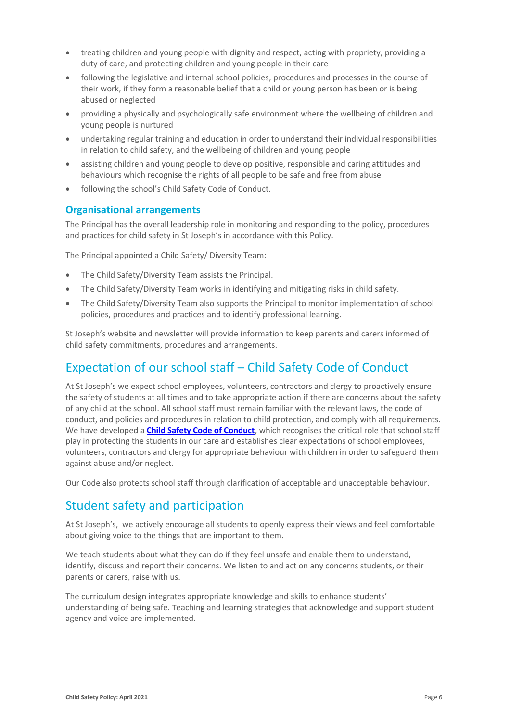- treating children and young people with dignity and respect, acting with propriety, providing a duty of care, and protecting children and young people in their care
- following the legislative and internal school policies, procedures and processes in the course of their work, if they form a reasonable belief that a child or young person has been or is being abused or neglected
- providing a physically and psychologically safe environment where the wellbeing of children and young people is nurtured
- undertaking regular training and education in order to understand their individual responsibilities in relation to child safety, and the wellbeing of children and young people
- assisting children and young people to develop positive, responsible and caring attitudes and behaviours which recognise the rights of all people to be safe and free from abuse
- following the school's Child Safety Code of Conduct.

#### **Organisational arrangements**

The Principal has the overall leadership role in monitoring and responding to the policy, procedures and practices for child safety in St Joseph's in accordance with this Policy.

The Principal appointed a Child Safety/ Diversity Team:

- The Child Safety/Diversity Team assists the Principal.
- The Child Safety/Diversity Team works in identifying and mitigating risks in child safety.
- The Child Safety/Diversity Team also supports the Principal to monitor implementation of school policies, procedures and practices and to identify professional learning.

St Joseph's website and newsletter will provide information to keep parents and carers informed of child safety commitments, procedures and arrangements.

# Expectation of our school staff – Child Safety Code of Conduct

At St Joseph's we expect school employees, volunteers, contractors and clergy to proactively ensure the safety of students at all times and to take appropriate action if there are concerns about the safety of any child at the school. All school staff must remain familiar with the relevant laws, the code of conduct, and policies and procedures in relation to child protection, and comply with all requirements. We have developed a **[Child Safety Code of Conduct](https://drive.google.com/file/d/1tcnIMDBWVnMmBupmjH6vY1dGRPZtLVbN/view?usp=sharing)**, which recognises the critical role that school staff play in protecting the students in our care and establishes clear expectations of school employees, volunteers, contractors and clergy for appropriate behaviour with children in order to safeguard them against abuse and/or neglect.

Our Code also protects school staff through clarification of acceptable and unacceptable behaviour.

# Student safety and participation

At St Joseph's, we actively encourage all students to openly express their views and feel comfortable about giving voice to the things that are important to them.

We teach students about what they can do if they feel unsafe and enable them to understand, identify, discuss and report their concerns. We listen to and act on any concerns students, or their parents or carers, raise with us.

The curriculum design integrates appropriate knowledge and skills to enhance students' understanding of being safe. Teaching and learning strategies that acknowledge and support student agency and voice are implemented.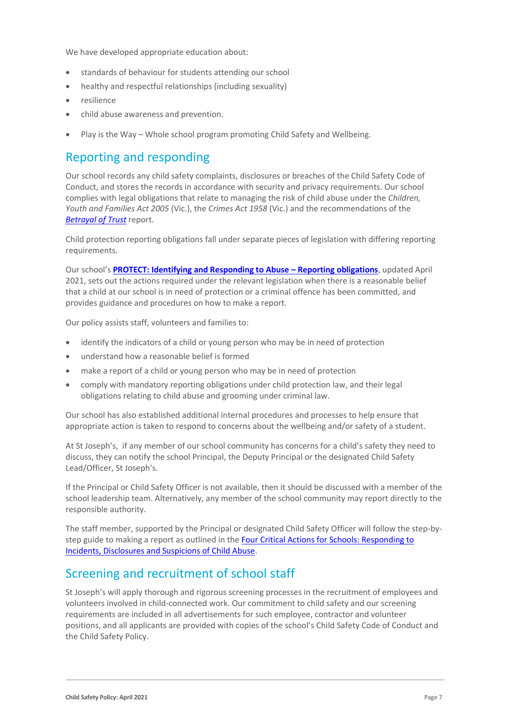We have developed appropriate education about:

- standards of behaviour for students attending our school
- healthy and respectful relationships (including sexuality)
- resilience
- child abuse awareness and prevention.
- Play is the Way Whole school program promoting Child Safety and Wellbeing.

# Reporting and responding

Our school records any child safety complaints, disclosures or breaches of the Child Safety Code of Conduct, and stores the records in accordance with security and privacy requirements. Our school complies with legal obligations that relate to managing the risk of child abuse under the *Children, Youth and Families Act 2005* (Vic.), the *Crimes Act 1958* (Vic.) and the recommendations of the *[Betrayal of Trust](http://www.parliament.vic.gov.au/fcdc/article/1788)* report.

Child protection reporting obligations fall under separate pieces of legislation with differing reporting requirements.

Our school's **[PROTECT: Identifying and Responding to Abuse](https://drive.google.com/file/d/1FHiZYQ7SAqFuEklmfKQYOwYlKObGujTC/view?usp=sharing) – Reporting obligations**, updated April 2021, sets out the actions required under the relevant legislation when there is a reasonable belief that a child at our school is in need of protection or a criminal offence has been committed, and provides guidance and procedures on how to make a report.

Our policy assists staff, volunteers and families to:

- identify the indicators of a child or young person who may be in need of protection
- understand how a reasonable belief is formed
- make a report of a child or young person who may be in need of protection
- comply with mandatory reporting obligations under child protection law, and their legal obligations relating to child abuse and grooming under criminal law.

Our school has also established additional internal procedures and processes to help ensure that appropriate action is taken to respond to concerns about the wellbeing and/or safety of a student.

At St Joseph's, if any member of our school community has concerns for a child's safety they need to discuss, they can notify the school Principal, the Deputy Principal or the designated Child Safety Lead/Officer, St Joseph's.

If the Principal or Child Safety Officer is not available, then it should be discussed with a member of the school leadership team. Alternatively, any member of the school community may report directly to the responsible authority.

The staff member, supported by the Principal or designated Child Safety Officer will follow the step-bystep guide to making a report as outlined in the Four Critical Actions for Schools: Responding to [Incidents, Disclosures and Suspicions of Child Abuse.](https://www.education.vic.gov.au/Documents/about/programs/health/protect/FourCriticalActions_ChildAbuse.pdf)

### Screening and recruitment of school staff

St Joseph's will apply thorough and rigorous screening processes in the recruitment of employees and volunteers involved in child-connected work. Our commitment to child safety and our screening requirements are included in all advertisements for such employee, contractor and volunteer positions, and all applicants are provided with copies of the school's Child Safety Code of Conduct and the Child Safety Policy.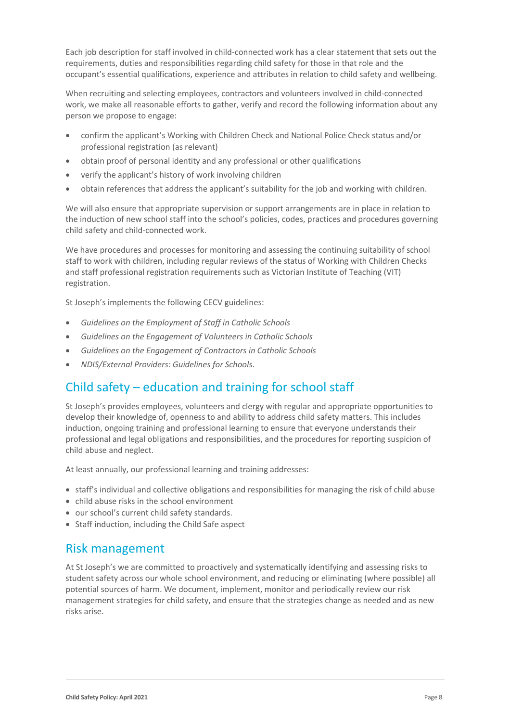Each job description for staff involved in child-connected work has a clear statement that sets out the requirements, duties and responsibilities regarding child safety for those in that role and the occupant's essential qualifications, experience and attributes in relation to child safety and wellbeing.

When recruiting and selecting employees, contractors and volunteers involved in child-connected work, we make all reasonable efforts to gather, verify and record the following information about any person we propose to engage:

- confirm the applicant's Working with Children Check and National Police Check status and/or professional registration (as relevant)
- obtain proof of personal identity and any professional or other qualifications
- verify the applicant's history of work involving children
- obtain references that address the applicant's suitability for the job and working with children.

We will also ensure that appropriate supervision or support arrangements are in place in relation to the induction of new school staff into the school's policies, codes, practices and procedures governing child safety and child-connected work.

We have procedures and processes for monitoring and assessing the continuing suitability of school staff to work with children, including regular reviews of the status of Working with Children Checks and staff professional registration requirements such as Victorian Institute of Teaching (VIT) registration.

St Joseph's implements the following CECV guidelines:

- *Guidelines on the Employment of Staff in Catholic Schools*
- *Guidelines on the Engagement of Volunteers in Catholic Schools*
- *Guidelines on the Engagement of Contractors in Catholic Schools*
- *NDIS/External Providers: Guidelines for Schools*.

# Child safety – education and training for school staff

St Joseph's provides employees, volunteers and clergy with regular and appropriate opportunities to develop their knowledge of, openness to and ability to address child safety matters. This includes induction, ongoing training and professional learning to ensure that everyone understands their professional and legal obligations and responsibilities, and the procedures for reporting suspicion of child abuse and neglect.

At least annually, our professional learning and training addresses:

- staff's individual and collective obligations and responsibilities for managing the risk of child abuse
- child abuse risks in the school environment
- our school's current child safety standards.
- Staff induction, including the Child Safe aspect

### Risk management

At St Joseph's we are committed to proactively and systematically identifying and assessing risks to student safety across our whole school environment, and reducing or eliminating (where possible) all potential sources of harm. We document, implement, monitor and periodically review our risk management strategies for child safety, and ensure that the strategies change as needed and as new risks arise.